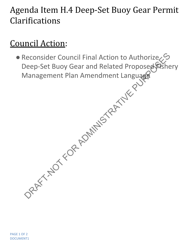## Agenda Item H.4 Deep-Set Buoy Gear Permit Clarifications

## Council Action:

• Reconsider Council Final Action to Authorize Deep-Set Buoy Gear and Related Proposed Fishery Management Plan Amendment Language Reconsider Council Final Action to Authorize